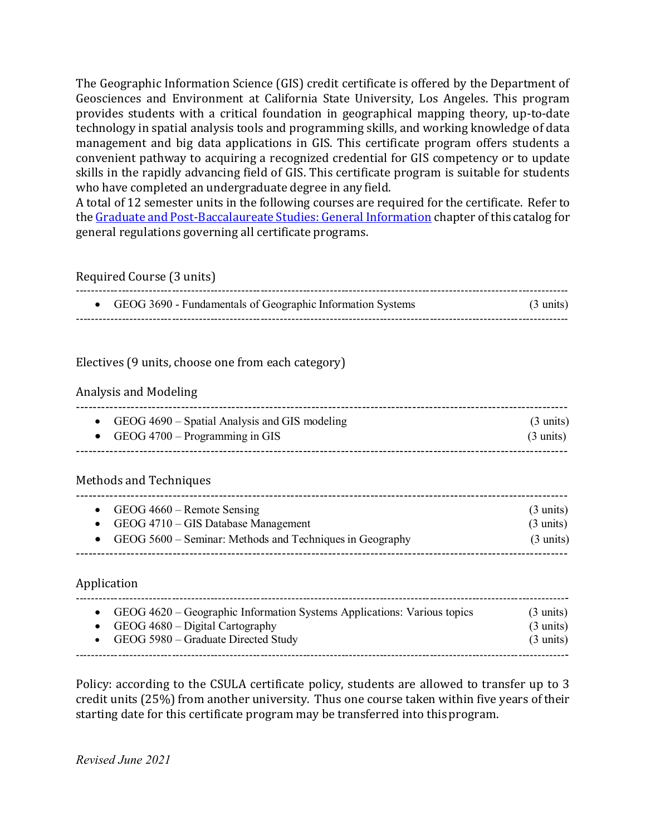The Geographic Information Science (GIS) credit certificate is offered by the Department of Geosciences and Environment at California State University, Los Angeles. This program provides students with a critical foundation in geographical mapping theory, up-to-date technology in spatial analysis tools and programming skills, and working knowledge of data management and big data applications in GIS. This certificate program offers students a convenient pathway to acquiring a recognized credential for GIS competency or to update skills in the rapidly advancing field of GIS. This certificate program is suitable for students who have completed an undergraduate degree in any field.

A total of 12 semester units in the following courses are required for the certificate. Refer to the Graduate and [Post-Baccalaureate](http://ecatalog.calstatela.edu/content.php?catoid=4&navoid=122) Studies: General Information chapter of this catalog for general regulations governing all certificate programs.

Required Course (3 units)

| GEOG 3690 - Fundamentals of Geographic Information Systems | $(3 \text{ units})$ |
|------------------------------------------------------------|---------------------|
|                                                            |                     |

### Electives (9 units, choose one from each category)

#### Analysis and Modeling

| • GEOG $4690$ – Spatial Analysis and GIS modeling | $(3 \text{ units})$ |
|---------------------------------------------------|---------------------|
| • GEOG $4700 -$ Programming in GIS                | $(3 \text{ units})$ |
|                                                   |                     |

### Methods and Techniques

|  | • GEOG $4660$ – Remote Sensing<br>• GEOG $4710 - GIS$ Database Management<br>• GEOG $5600$ – Seminar: Methods and Techniques in Geography | $(3 \text{ units})$<br>$(3 \text{ units})$<br>$(3 \text{ units})$ |
|--|-------------------------------------------------------------------------------------------------------------------------------------------|-------------------------------------------------------------------|
|--|-------------------------------------------------------------------------------------------------------------------------------------------|-------------------------------------------------------------------|

### Application

| • GEOG $4620$ – Geographic Information Systems Applications: Various topics | $(3 \text{ units})$ |
|-----------------------------------------------------------------------------|---------------------|
| • GEOG $4680 - Digital Cartography$                                         | $(3 \text{ units})$ |
| • GEOG $5980$ – Graduate Directed Study                                     | $(3 \text{ units})$ |

Policy: according to the CSULA certificate policy, students are allowed to transfer up to 3 credit units (25%) from another university. Thus one course taken within five years of their starting date for this certificate program may be transferred into thisprogram.

*Revised June 2021*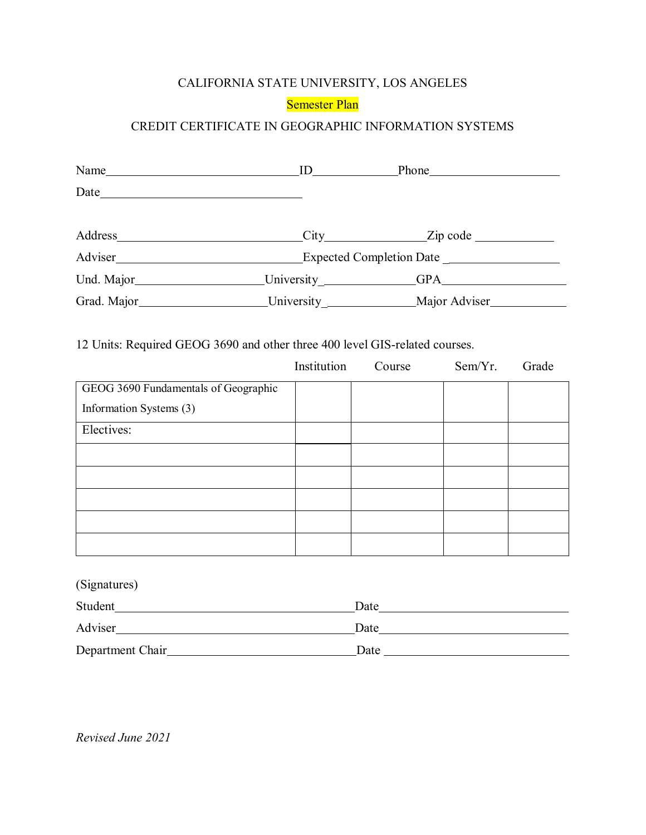# CALIFORNIA STATE UNIVERSITY, LOS ANGELES

# Semester Plan

# CREDIT CERTIFICATE IN GEOGRAPHIC INFORMATION SYSTEMS

|  | Address City Zip code                                                             |  |
|--|-----------------------------------------------------------------------------------|--|
|  |                                                                                   |  |
|  |                                                                                   |  |
|  | Grad. Major_____________________University _________________Major Adviser________ |  |

|                                      | Institution | Course | Sem/Yr. | Grade |
|--------------------------------------|-------------|--------|---------|-------|
| GEOG 3690 Fundamentals of Geographic |             |        |         |       |
| Information Systems (3)              |             |        |         |       |
| Electives:                           |             |        |         |       |
|                                      |             |        |         |       |
|                                      |             |        |         |       |
|                                      |             |        |         |       |
|                                      |             |        |         |       |
|                                      |             |        |         |       |

| (Signatures)     |      |  |
|------------------|------|--|
| Student          | Date |  |
| Adviser          | Date |  |
| Department Chair | Date |  |

*Revised June 2021*